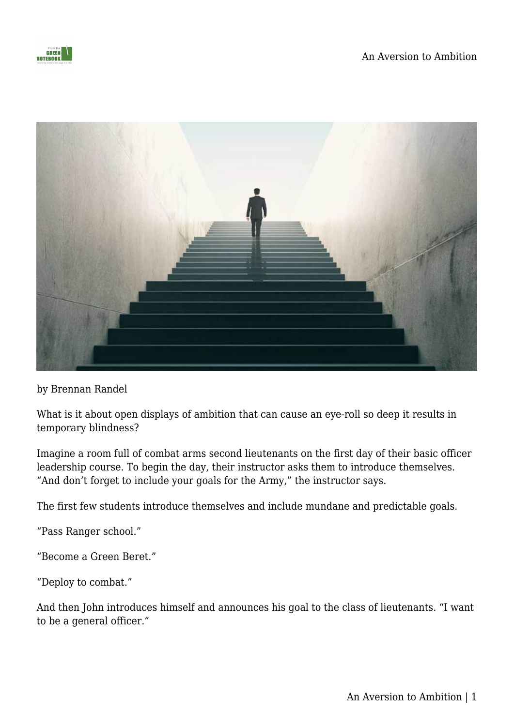



by Brennan Randel

What is it about open displays of ambition that can cause an eye-roll so deep it results in temporary blindness?

Imagine a room full of combat arms second lieutenants on the first day of their basic officer leadership course. To begin the day, their instructor asks them to introduce themselves. "And don't forget to include your goals for the Army," the instructor says.

The first few students introduce themselves and include mundane and predictable goals.

"Pass Ranger school."

"Become a Green Beret."

"Deploy to combat."

And then John introduces himself and announces his goal to the class of lieutenants. "I want to be a general officer."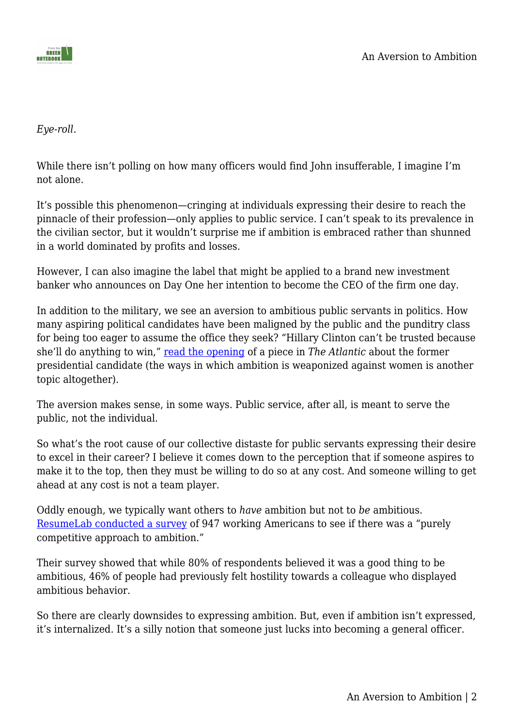*Eye-roll.*

While there isn't polling on how many officers would find John insufferable, I imagine I'm not alone.

It's possible this phenomenon—cringing at individuals expressing their desire to reach the pinnacle of their profession—only applies to public service. I can't speak to its prevalence in the civilian sector, but it wouldn't surprise me if ambition is embraced rather than shunned in a world dominated by profits and losses.

However, I can also imagine the label that might be applied to a brand new investment banker who announces on Day One her intention to become the CEO of the firm one day.

In addition to the military, we see an aversion to ambitious public servants in politics. How many aspiring political candidates have been maligned by the public and the punditry class for being too eager to assume the office they seek? "Hillary Clinton can't be trusted because she'll do anything to win," [read the opening](https://jumobrief.us19.list-manage.com/track/click?u=0d9cc2c0e07f2e47ddf2c054b&id=569ab3ea96&e=a1cc596ad4) of a piece in *The Atlantic* about the former presidential candidate (the ways in which ambition is weaponized against women is another topic altogether).

The aversion makes sense, in some ways. Public service, after all, is meant to serve the public, not the individual.

So what's the root cause of our collective distaste for public servants expressing their desire to excel in their career? I believe it comes down to the perception that if someone aspires to make it to the top, then they must be willing to do so at any cost. And someone willing to get ahead at any cost is not a team player.

Oddly enough, we typically want others to *have* ambition but not to *be* ambitious. [ResumeLab conducted a survey](https://resumelab.com/career-advice/ambition) of 947 working Americans to see if there was a "purely competitive approach to ambition."

Their survey showed that while 80% of respondents believed it was a good thing to be ambitious, 46% of people had previously felt hostility towards a colleague who displayed ambitious behavior.

So there are clearly downsides to expressing ambition. But, even if ambition isn't expressed, it's internalized. It's a silly notion that someone just lucks into becoming a general officer.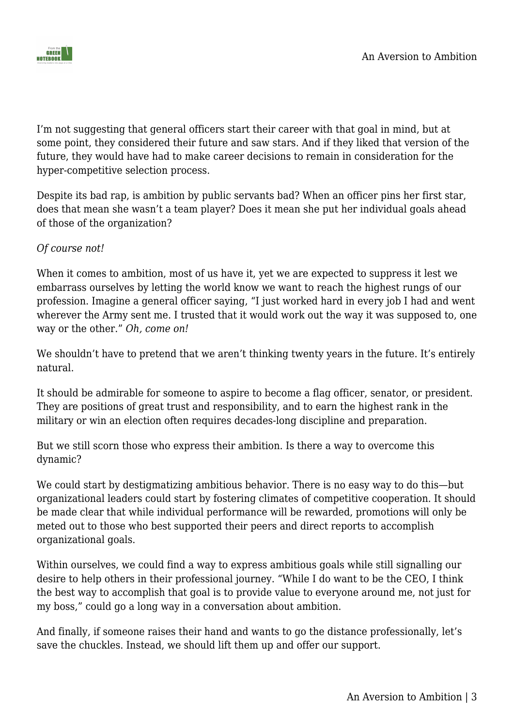

I'm not suggesting that general officers start their career with that goal in mind, but at some point, they considered their future and saw stars. And if they liked that version of the future, they would have had to make career decisions to remain in consideration for the hyper-competitive selection process.

Despite its bad rap, is ambition by public servants bad? When an officer pins her first star, does that mean she wasn't a team player? Does it mean she put her individual goals ahead of those of the organization?

## *Of course not!*

When it comes to ambition, most of us have it, yet we are expected to suppress it lest we embarrass ourselves by letting the world know we want to reach the highest rungs of our profession. Imagine a general officer saying, "I just worked hard in every job I had and went wherever the Army sent me. I trusted that it would work out the way it was supposed to, one way or the other." *Oh, come on!*

We shouldn't have to pretend that we aren't thinking twenty years in the future. It's entirely natural.

It should be admirable for someone to aspire to become a flag officer, senator, or president. They are positions of great trust and responsibility, and to earn the highest rank in the military or win an election often requires decades-long discipline and preparation.

But we still scorn those who express their ambition. Is there a way to overcome this dynamic?

We could start by destigmatizing ambitious behavior. There is no easy way to do this—but organizational leaders could start by fostering climates of competitive cooperation. It should be made clear that while individual performance will be rewarded, promotions will only be meted out to those who best supported their peers and direct reports to accomplish organizational goals.

Within ourselves, we could find a way to express ambitious goals while still signalling our desire to help others in their professional journey. "While I do want to be the CEO, I think the best way to accomplish that goal is to provide value to everyone around me, not just for my boss," could go a long way in a conversation about ambition.

And finally, if someone raises their hand and wants to go the distance professionally, let's save the chuckles. Instead, we should lift them up and offer our support.